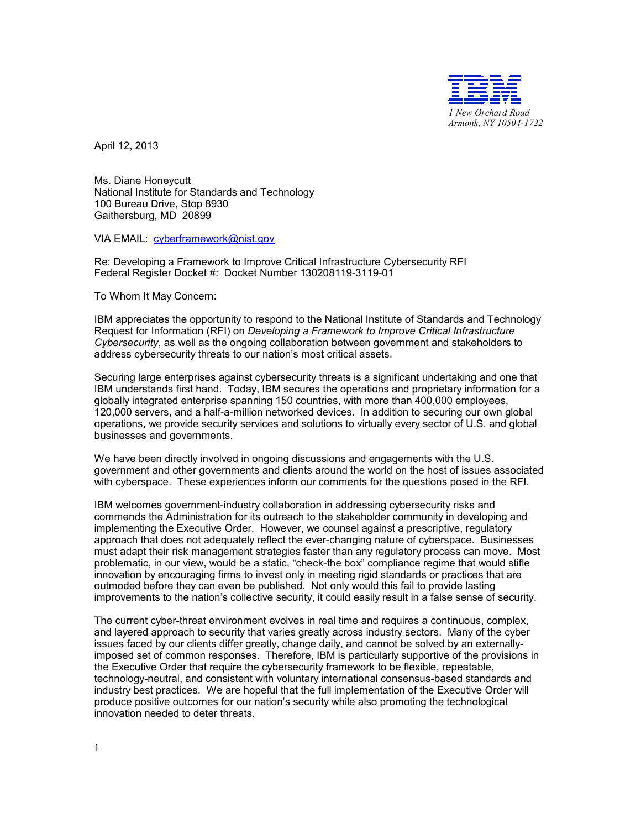

April 12, 2013

Ms. Diane Honeycutt National Institute for Standards and Technology 100 Bureau Drive, Stop 8930 Gaithersburg, MD 20899

VIA EMAIL: [cyberframework@nist.gov](mailto:cyberframework@nist.gov)

Re: Developing a Framework to Improve Critical Infrastructure Cybersecurity RFI Federal Register Docket #: Docket Number 130208119-3119-01

To Whom It May Concern:

IBM appreciates the opportunity to respond to the National Institute of Standards and Technology Request for Information (RFI) on *Developing a Framework to Improve Critical Infrastructure Cybersecurity*, as well as the ongoing collaboration between government and stakeholders to address cybersecurity threats to our nation's most critical assets.

Securing large enterprises against cybersecurity threats is a significant undertaking and one that IBM understands first hand. Today, IBM secures the operations and proprietary information for a globally integrated enterprise spanning 150 countries, with more than 400,000 employees, 120,000 servers, and a half-a-million networked devices. In addition to securing our own global operations, we provide security services and solutions to virtually every sector of U.S. and global businesses and governments.

We have been directly involved in ongoing discussions and engagements with the U.S. government and other governments and clients around the world on the host of issues associated with cyberspace. These experiences inform our comments for the questions posed in the RFI.

IBM welcomes government-industry collaboration in addressing cybersecurity risks and commends the Administration for its outreach to the stakeholder community in developing and implementing the Executive Order. However, we counsel against a prescriptive, regulatory approach that does not adequately reflect the ever-changing nature of cyberspace. Businesses must adapt their risk management strategies faster than any regulatory process can move. Most problematic, in our view, would be a static, "check-the box" compliance regime that would stifle innovation by encouraging firms to invest only in meeting rigid standards or practices that are outmoded before they can even be published. Not only would this fail to provide lasting improvements to the nation's collective security, it could easily result in a false sense of security.

The current cyber-threat environment evolves in real time and requires a continuous, complex, and layered approach to security that varies greatly across industry sectors. Many of the cyber issues faced by our clients differ greatly, change daily, and cannot be solved by an externallyimposed set of common responses. Therefore, IBM is particularly supportive of the provisions in the Executive Order that require the cybersecurity framework to be flexible, repeatable, technology-neutral, and consistent with voluntary international consensus-based standards and industry best practices. We are hopeful that the full implementation of the Executive Order will produce positive outcomes for our nation's security while also promoting the technological innovation needed to deter threats.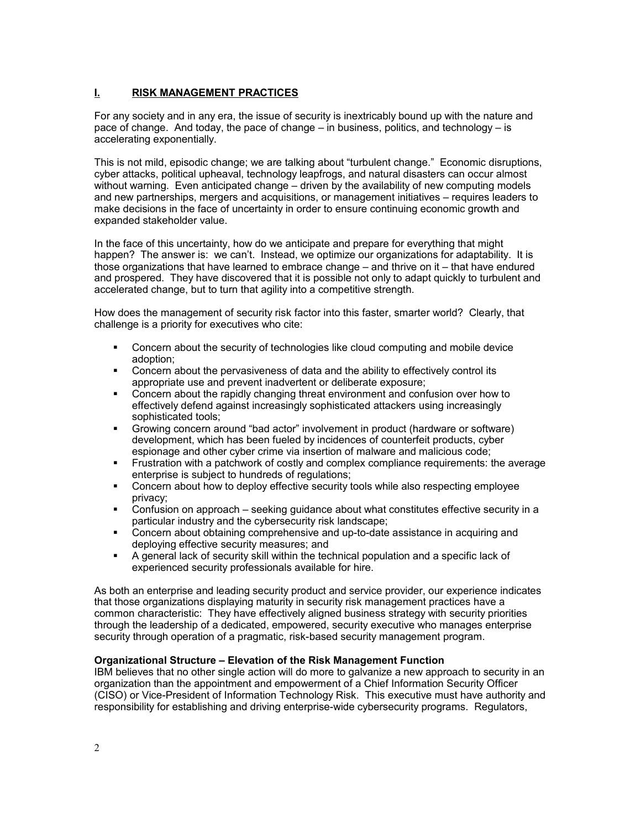# **I. RISK MANAGEMENT PRACTICES**

For any society and in any era, the issue of security is inextricably bound up with the nature and pace of change. And today, the pace of change – in business, politics, and technology – is accelerating exponentially.

This is not mild, episodic change; we are talking about "turbulent change." Economic disruptions, cyber attacks, political upheaval, technology leapfrogs, and natural disasters can occur almost without warning. Even anticipated change – driven by the availability of new computing models and new partnerships, mergers and acquisitions, or management initiatives – requires leaders to make decisions in the face of uncertainty in order to ensure continuing economic growth and expanded stakeholder value.

In the face of this uncertainty, how do we anticipate and prepare for everything that might happen? The answer is: we can't. Instead, we optimize our organizations for adaptability. It is those organizations that have learned to embrace change – and thrive on it – that have endured and prospered. They have discovered that it is possible not only to adapt quickly to turbulent and accelerated change, but to turn that agility into a competitive strength.

How does the management of security risk factor into this faster, smarter world? Clearly, that challenge is a priority for executives who cite:

- Concern about the security of technologies like cloud computing and mobile device adoption;
- Concern about the pervasiveness of data and the ability to effectively control its appropriate use and prevent inadvertent or deliberate exposure;
- Concern about the rapidly changing threat environment and confusion over how to effectively defend against increasingly sophisticated attackers using increasingly sophisticated tools;
- Growing concern around "bad actor" involvement in product (hardware or software) development, which has been fueled by incidences of counterfeit products, cyber espionage and other cyber crime via insertion of malware and malicious code;
- **F** Frustration with a patchwork of costly and complex compliance requirements: the average enterprise is subject to hundreds of regulations;
- Concern about how to deploy effective security tools while also respecting employee privacy;
- Confusion on approach seeking guidance about what constitutes effective security in a particular industry and the cybersecurity risk landscape;
- Concern about obtaining comprehensive and up-to-date assistance in acquiring and deploying effective security measures; and
- A general lack of security skill within the technical population and a specific lack of experienced security professionals available for hire.

As both an enterprise and leading security product and service provider, our experience indicates that those organizations displaying maturity in security risk management practices have a common characteristic: They have effectively aligned business strategy with security priorities through the leadership of a dedicated, empowered, security executive who manages enterprise security through operation of a pragmatic, risk-based security management program.

### **Organizational Structure – Elevation of the Risk Management Function**

IBM believes that no other single action will do more to galvanize a new approach to security in an organization than the appointment and empowerment of a Chief Information Security Officer (CISO) or Vice-President of Information Technology Risk. This executive must have authority and responsibility for establishing and driving enterprise-wide cybersecurity programs. Regulators,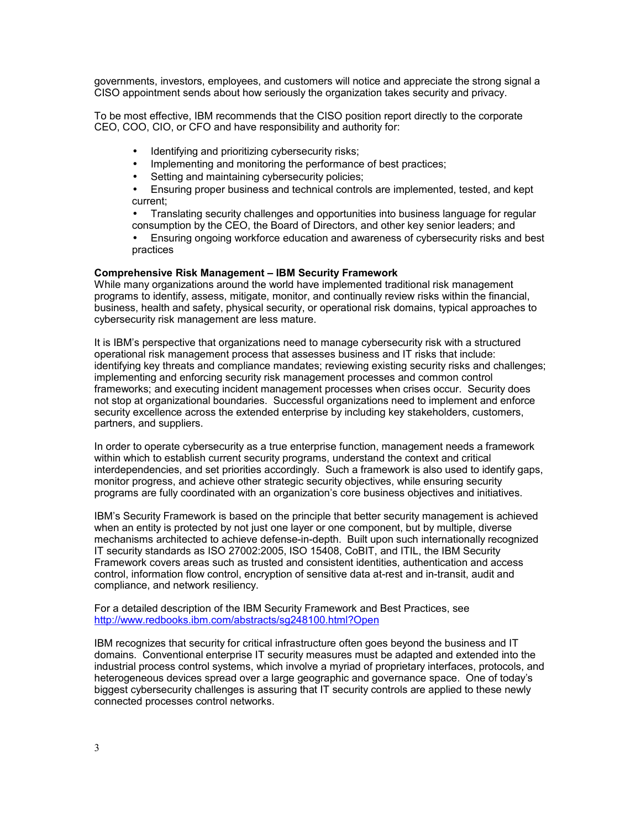governments, investors, employees, and customers will notice and appreciate the strong signal a CISO appointment sends about how seriously the organization takes security and privacy.

To be most effective, IBM recommends that the CISO position report directly to the corporate CEO, COO, CIO, or CFO and have responsibility and authority for:

- Identifying and prioritizing cybersecurity risks;
- Implementing and monitoring the performance of best practices;
- Setting and maintaining cybersecurity policies;

• Ensuring proper business and technical controls are implemented, tested, and kept current;

• Translating security challenges and opportunities into business language for regular consumption by the CEO, the Board of Directors, and other key senior leaders; and

• Ensuring ongoing workforce education and awareness of cybersecurity risks and best practices

#### **Comprehensive Risk Management – IBM Security Framework**

While many organizations around the world have implemented traditional risk management programs to identify, assess, mitigate, monitor, and continually review risks within the financial, business, health and safety, physical security, or operational risk domains, typical approaches to cybersecurity risk management are less mature.

It is IBM's perspective that organizations need to manage cybersecurity risk with a structured operational risk management process that assesses business and IT risks that include: identifying key threats and compliance mandates; reviewing existing security risks and challenges; implementing and enforcing security risk management processes and common control frameworks; and executing incident management processes when crises occur. Security does not stop at organizational boundaries. Successful organizations need to implement and enforce security excellence across the extended enterprise by including key stakeholders, customers, partners, and suppliers.

In order to operate cybersecurity as a true enterprise function, management needs a framework within which to establish current security programs, understand the context and critical interdependencies, and set priorities accordingly. Such a framework is also used to identify gaps, monitor progress, and achieve other strategic security objectives, while ensuring security programs are fully coordinated with an organization's core business objectives and initiatives.

IBM's Security Framework is based on the principle that better security management is achieved when an entity is protected by not just one layer or one component, but by multiple, diverse mechanisms architected to achieve defense-in-depth. Built upon such internationally recognized IT security standards as ISO 27002:2005, ISO 15408, CoBIT, and ITIL, the IBM Security Framework covers areas such as trusted and consistent identities, authentication and access control, information flow control, encryption of sensitive data at-rest and in-transit, audit and compliance, and network resiliency.

For a detailed description of the IBM Security Framework and Best Practices, see <http://www.redbooks.ibm.com/abstracts/sg248100.html?Open>

IBM recognizes that security for critical infrastructure often goes beyond the business and IT domains. Conventional enterprise IT security measures must be adapted and extended into the industrial process control systems, which involve a myriad of proprietary interfaces, protocols, and heterogeneous devices spread over a large geographic and governance space. One of today's biggest cybersecurity challenges is assuring that IT security controls are applied to these newly connected processes control networks.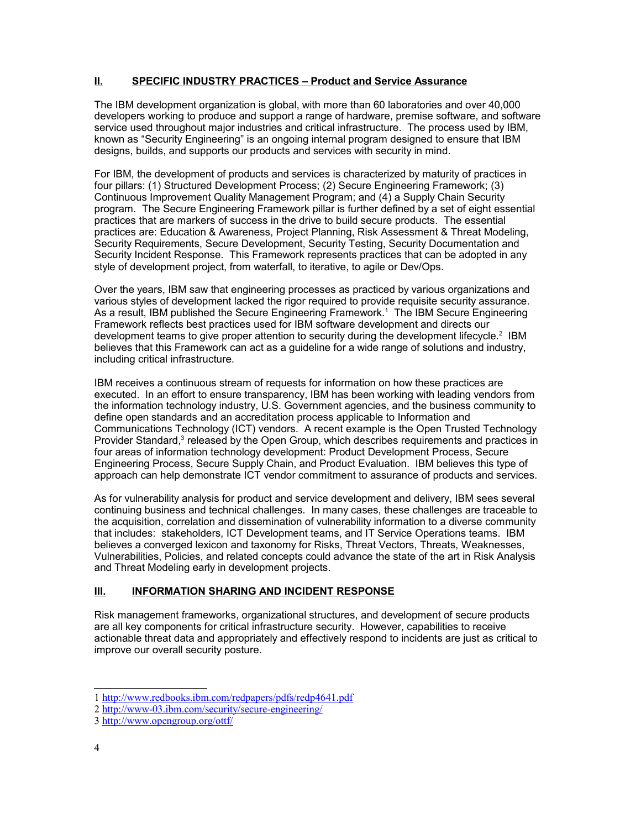## **II. SPECIFIC INDUSTRY PRACTICES – Product and Service Assurance**

The IBM development organization is global, with more than 60 laboratories and over 40,000 developers working to produce and support a range of hardware, premise software, and software service used throughout major industries and critical infrastructure. The process used by IBM, known as "Security Engineering" is an ongoing internal program designed to ensure that IBM designs, builds, and supports our products and services with security in mind.

For IBM, the development of products and services is characterized by maturity of practices in four pillars: (1) Structured Development Process; (2) Secure Engineering Framework; (3) Continuous Improvement Quality Management Program; and (4) a Supply Chain Security program. The Secure Engineering Framework pillar is further defined by a set of eight essential practices that are markers of success in the drive to build secure products. The essential practices are: Education & Awareness, Project Planning, Risk Assessment & Threat Modeling, Security Requirements, Secure Development, Security Testing, Security Documentation and Security Incident Response. This Framework represents practices that can be adopted in any style of development project, from waterfall, to iterative, to agile or Dev/Ops.

Over the years, IBM saw that engineering processes as practiced by various organizations and various styles of development lacked the rigor required to provide requisite security assurance. As a result, IBM published the Secure Engineering Framework.[1](#page-3-0) The IBM Secure Engineering Framework reflects best practices used for IBM software development and directs our development teams to give proper attention to security during the development lifecycle.<sup>[2](#page-3-1)</sup> IBM believes that this Framework can act as a guideline for a wide range of solutions and industry, including critical infrastructure.

IBM receives a continuous stream of requests for information on how these practices are executed. In an effort to ensure transparency, IBM has been working with leading vendors from the information technology industry, U.S. Government agencies, and the business community to define open standards and an accreditation process applicable to Information and Communications Technology (ICT) vendors. A recent example is the Open Trusted Technology Provider Standard,<sup>[3](#page-3-2)</sup> released by the Open Group, which describes requirements and practices in four areas of information technology development: Product Development Process, Secure Engineering Process, Secure Supply Chain, and Product Evaluation. IBM believes this type of approach can help demonstrate ICT vendor commitment to assurance of products and services.

As for vulnerability analysis for product and service development and delivery, IBM sees several continuing business and technical challenges. In many cases, these challenges are traceable to the acquisition, correlation and dissemination of vulnerability information to a diverse community that includes: stakeholders, ICT Development teams, and IT Service Operations teams. IBM believes a converged lexicon and taxonomy for Risks, Threat Vectors, Threats, Weaknesses, Vulnerabilities, Policies, and related concepts could advance the state of the art in Risk Analysis and Threat Modeling early in development projects.

## **III. INFORMATION SHARING AND INCIDENT RESPONSE**

Risk management frameworks, organizational structures, and development of secure products are all key components for critical infrastructure security. However, capabilities to receive actionable threat data and appropriately and effectively respond to incidents are just as critical to improve our overall security posture.

<span id="page-3-0"></span><sup>1</sup> <http://www.redbooks.ibm.com/redpapers/pdfs/redp4641.pdf>

<span id="page-3-1"></span><sup>2</sup> <http://www-03.ibm.com/security/secure-engineering/>

<span id="page-3-2"></span><sup>3</sup> <http://www.opengroup.org/ottf/>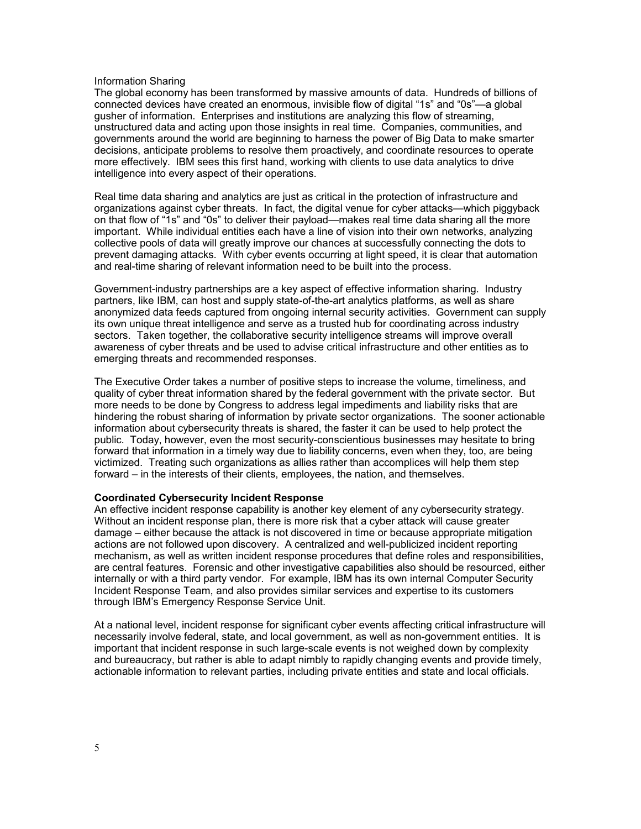#### Information Sharing

The global economy has been transformed by massive amounts of data. Hundreds of billions of connected devices have created an enormous, invisible flow of digital "1s" and "0s"—a global gusher of information. Enterprises and institutions are analyzing this flow of streaming, unstructured data and acting upon those insights in real time. Companies, communities, and governments around the world are beginning to harness the power of Big Data to make smarter decisions, anticipate problems to resolve them proactively, and coordinate resources to operate more effectively. IBM sees this first hand, working with clients to use data analytics to drive intelligence into every aspect of their operations.

Real time data sharing and analytics are just as critical in the protection of infrastructure and organizations against cyber threats. In fact, the digital venue for cyber attacks—which piggyback on that flow of "1s" and "0s" to deliver their payload—makes real time data sharing all the more important. While individual entities each have a line of vision into their own networks, analyzing collective pools of data will greatly improve our chances at successfully connecting the dots to prevent damaging attacks. With cyber events occurring at light speed, it is clear that automation and real-time sharing of relevant information need to be built into the process.

Government-industry partnerships are a key aspect of effective information sharing. Industry partners, like IBM, can host and supply state-of-the-art analytics platforms, as well as share anonymized data feeds captured from ongoing internal security activities. Government can supply its own unique threat intelligence and serve as a trusted hub for coordinating across industry sectors. Taken together, the collaborative security intelligence streams will improve overall awareness of cyber threats and be used to advise critical infrastructure and other entities as to emerging threats and recommended responses.

The Executive Order takes a number of positive steps to increase the volume, timeliness, and quality of cyber threat information shared by the federal government with the private sector. But more needs to be done by Congress to address legal impediments and liability risks that are hindering the robust sharing of information by private sector organizations. The sooner actionable information about cybersecurity threats is shared, the faster it can be used to help protect the public. Today, however, even the most security-conscientious businesses may hesitate to bring forward that information in a timely way due to liability concerns, even when they, too, are being victimized. Treating such organizations as allies rather than accomplices will help them step forward – in the interests of their clients, employees, the nation, and themselves.

#### **Coordinated Cybersecurity Incident Response**

An effective incident response capability is another key element of any cybersecurity strategy. Without an incident response plan, there is more risk that a cyber attack will cause greater damage – either because the attack is not discovered in time or because appropriate mitigation actions are not followed upon discovery. A centralized and well-publicized incident reporting mechanism, as well as written incident response procedures that define roles and responsibilities, are central features. Forensic and other investigative capabilities also should be resourced, either internally or with a third party vendor. For example, IBM has its own internal Computer Security Incident Response Team, and also provides similar services and expertise to its customers through IBM's Emergency Response Service Unit.

At a national level, incident response for significant cyber events affecting critical infrastructure will necessarily involve federal, state, and local government, as well as non-government entities. It is important that incident response in such large-scale events is not weighed down by complexity and bureaucracy, but rather is able to adapt nimbly to rapidly changing events and provide timely, actionable information to relevant parties, including private entities and state and local officials.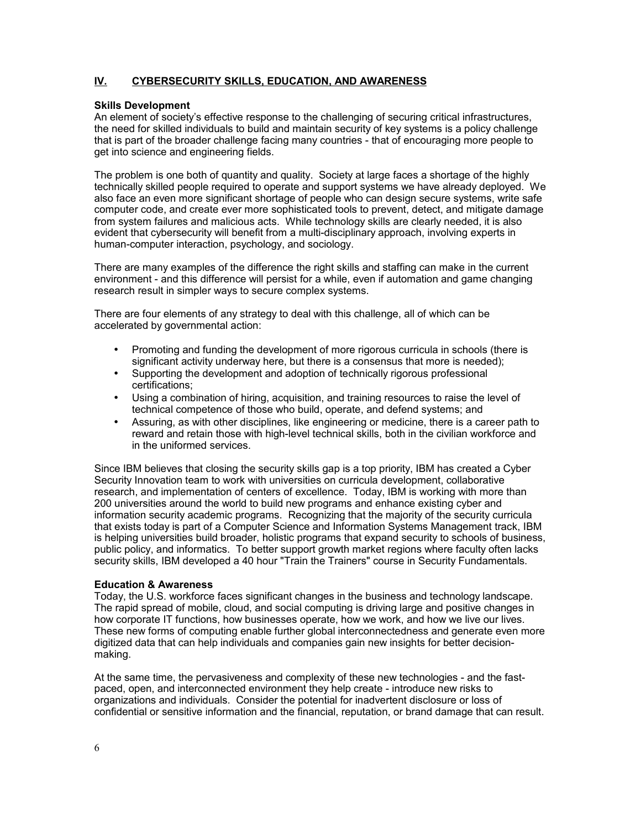## **IV. CYBERSECURITY SKILLS, EDUCATION, AND AWARENESS**

### **Skills Development**

An element of society's effective response to the challenging of securing critical infrastructures, the need for skilled individuals to build and maintain security of key systems is a policy challenge that is part of the broader challenge facing many countries - that of encouraging more people to get into science and engineering fields.

The problem is one both of quantity and quality. Society at large faces a shortage of the highly technically skilled people required to operate and support systems we have already deployed. We also face an even more significant shortage of people who can design secure systems, write safe computer code, and create ever more sophisticated tools to prevent, detect, and mitigate damage from system failures and malicious acts. While technology skills are clearly needed, it is also evident that cybersecurity will benefit from a multi-disciplinary approach, involving experts in human-computer interaction, psychology, and sociology.

There are many examples of the difference the right skills and staffing can make in the current environment - and this difference will persist for a while, even if automation and game changing research result in simpler ways to secure complex systems.

There are four elements of any strategy to deal with this challenge, all of which can be accelerated by governmental action:

- Promoting and funding the development of more rigorous curricula in schools (there is significant activity underway here, but there is a consensus that more is needed);
- Supporting the development and adoption of technically rigorous professional certifications;
- Using a combination of hiring, acquisition, and training resources to raise the level of technical competence of those who build, operate, and defend systems; and
- Assuring, as with other disciplines, like engineering or medicine, there is a career path to reward and retain those with high-level technical skills, both in the civilian workforce and in the uniformed services.

Since IBM believes that closing the security skills gap is a top priority, IBM has created a Cyber Security Innovation team to work with universities on curricula development, collaborative research, and implementation of centers of excellence. Today, IBM is working with more than 200 universities around the world to build new programs and enhance existing cyber and information security academic programs. Recognizing that the majority of the security curricula that exists today is part of a Computer Science and Information Systems Management track, IBM is helping universities build broader, holistic programs that expand security to schools of business, public policy, and informatics. To better support growth market regions where faculty often lacks security skills, IBM developed a 40 hour "Train the Trainers" course in Security Fundamentals.

### **Education & Awareness**

Today, the U.S. workforce faces significant changes in the business and technology landscape. The rapid spread of mobile, cloud, and social computing is driving large and positive changes in how corporate IT functions, how businesses operate, how we work, and how we live our lives. These new forms of computing enable further global interconnectedness and generate even more digitized data that can help individuals and companies gain new insights for better decisionmaking.

At the same time, the pervasiveness and complexity of these new technologies - and the fastpaced, open, and interconnected environment they help create - introduce new risks to organizations and individuals. Consider the potential for inadvertent disclosure or loss of confidential or sensitive information and the financial, reputation, or brand damage that can result.